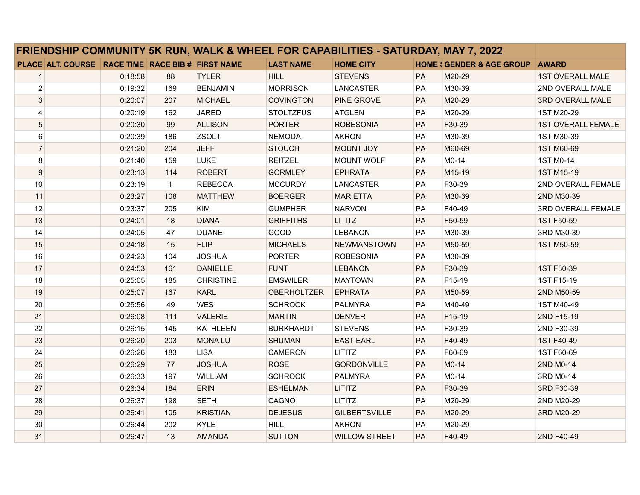| FRIENDSHIP COMMUNITY 5K RUN, WALK & WHEEL FOR CAPABILITIES - SATURDAY, MAY 7, 2022 |         |              |                  |                    |                      |    |                                      |                           |
|------------------------------------------------------------------------------------|---------|--------------|------------------|--------------------|----------------------|----|--------------------------------------|---------------------------|
| PLACE ALT. COURSE RACE TIME RACE BIB # FIRST NAME                                  |         |              |                  | <b>LAST NAME</b>   | <b>HOME CITY</b>     |    | <b>HOME : GENDER &amp; AGE GROUP</b> | <b>AWARD</b>              |
| $\mathbf{1}$                                                                       | 0:18:58 | 88           | <b>TYLER</b>     | <b>HILL</b>        | <b>STEVENS</b>       | PA | M20-29                               | <b>1ST OVERALL MALE</b>   |
| $\overline{\mathbf{c}}$                                                            | 0:19:32 | 169          | <b>BENJAMIN</b>  | <b>MORRISON</b>    | <b>LANCASTER</b>     | PA | M30-39                               | 2ND OVERALL MALE          |
| 3                                                                                  | 0:20:07 | 207          | <b>MICHAEL</b>   | <b>COVINGTON</b>   | <b>PINE GROVE</b>    | PA | M20-29                               | 3RD OVERALL MALE          |
| 4                                                                                  | 0:20:19 | 162          | <b>JARED</b>     | <b>STOLTZFUS</b>   | <b>ATGLEN</b>        | PA | M20-29                               | 1ST M20-29                |
| 5                                                                                  | 0:20:30 | 99           | <b>ALLISON</b>   | <b>PORTER</b>      | <b>ROBESONIA</b>     | PA | F30-39                               | <b>1ST OVERALL FEMALE</b> |
| 6                                                                                  | 0:20:39 | 186          | ZSOLT            | <b>NEMODA</b>      | <b>AKRON</b>         | PA | M30-39                               | 1ST M30-39                |
| $\overline{7}$                                                                     | 0:21:20 | 204          | <b>JEFF</b>      | <b>STOUCH</b>      | <b>MOUNT JOY</b>     | PA | M60-69                               | 1ST M60-69                |
| 8                                                                                  | 0:21:40 | 159          | <b>LUKE</b>      | <b>REITZEL</b>     | MOUNT WOLF           | PA | M0-14                                | 1ST M0-14                 |
| 9                                                                                  | 0.23:13 | 114          | <b>ROBERT</b>    | <b>GORMLEY</b>     | <b>EPHRATA</b>       | PA | M15-19                               | 1ST M15-19                |
| 10                                                                                 | 0:23:19 | $\mathbf{1}$ | <b>REBECCA</b>   | <b>MCCURDY</b>     | <b>LANCASTER</b>     | PA | F30-39                               | 2ND OVERALL FEMALE        |
| 11                                                                                 | 0:23:27 | 108          | <b>MATTHEW</b>   | <b>BOERGER</b>     | <b>MARIETTA</b>      | PA | M30-39                               | 2ND M30-39                |
| 12                                                                                 | 0:23:37 | 205          | <b>KIM</b>       | <b>GUMPHER</b>     | <b>NARVON</b>        | PA | F40-49                               | 3RD OVERALL FEMALE        |
| 13                                                                                 | 0:24:01 | 18           | <b>DIANA</b>     | <b>GRIFFITHS</b>   | <b>LITITZ</b>        | PA | F50-59                               | 1ST F50-59                |
| 14                                                                                 | 0:24:05 | 47           | <b>DUANE</b>     | GOOD               | <b>LEBANON</b>       | PA | M30-39                               | 3RD M30-39                |
| 15                                                                                 | 0:24:18 | 15           | <b>FLIP</b>      | <b>MICHAELS</b>    | <b>NEWMANSTOWN</b>   | PA | M50-59                               | 1ST M50-59                |
| 16                                                                                 | 0:24:23 | 104          | <b>JOSHUA</b>    | <b>PORTER</b>      | <b>ROBESONIA</b>     | PA | M30-39                               |                           |
| 17                                                                                 | 0:24:53 | 161          | <b>DANIELLE</b>  | <b>FUNT</b>        | <b>LEBANON</b>       | PA | F30-39                               | 1ST F30-39                |
| 18                                                                                 | 0:25:05 | 185          | <b>CHRISTINE</b> | <b>EMSWILER</b>    | <b>MAYTOWN</b>       | PA | F15-19                               | 1ST F15-19                |
| 19                                                                                 | 0:25:07 | 167          | <b>KARL</b>      | <b>OBERHOLTZER</b> | <b>EPHRATA</b>       | PA | M50-59                               | 2ND M50-59                |
| 20                                                                                 | 0:25:56 | 49           | <b>WES</b>       | <b>SCHROCK</b>     | <b>PALMYRA</b>       | PA | M40-49                               | 1ST M40-49                |
| 21                                                                                 | 0:26:08 | 111          | <b>VALERIE</b>   | <b>MARTIN</b>      | <b>DENVER</b>        | PA | F15-19                               | 2ND F15-19                |
| 22                                                                                 | 0:26:15 | 145          | <b>KATHLEEN</b>  | <b>BURKHARDT</b>   | <b>STEVENS</b>       | PA | F30-39                               | 2ND F30-39                |
| 23                                                                                 | 0:26:20 | 203          | <b>MONALU</b>    | <b>SHUMAN</b>      | <b>EAST EARL</b>     | PA | F40-49                               | 1ST F40-49                |
| 24                                                                                 | 0:26:26 | 183          | <b>LISA</b>      | <b>CAMERON</b>     | <b>LITITZ</b>        | PA | F60-69                               | 1ST F60-69                |
| 25                                                                                 | 0:26:29 | 77           | <b>JOSHUA</b>    | <b>ROSE</b>        | <b>GORDONVILLE</b>   | PA | $M0-14$                              | 2ND M0-14                 |
| 26                                                                                 | 0:26:33 | 197          | <b>WILLIAM</b>   | <b>SCHROCK</b>     | <b>PALMYRA</b>       | PA | $M0-14$                              | 3RD M0-14                 |
| 27                                                                                 | 0:26:34 | 184          | <b>ERIN</b>      | <b>ESHELMAN</b>    | <b>LITITZ</b>        | PA | F30-39                               | 3RD F30-39                |
| 28                                                                                 | 0:26:37 | 198          | <b>SETH</b>      | CAGNO              | <b>LITITZ</b>        | PA | M20-29                               | 2ND M20-29                |
| 29                                                                                 | 0:26:41 | 105          | <b>KRISTIAN</b>  | <b>DEJESUS</b>     | <b>GILBERTSVILLE</b> | PA | M20-29                               | 3RD M20-29                |
| 30                                                                                 | 0:26:44 | 202          | <b>KYLE</b>      | <b>HILL</b>        | <b>AKRON</b>         | PA | M20-29                               |                           |
| 31                                                                                 | 0:26:47 | 13           | <b>AMANDA</b>    | <b>SUTTON</b>      | <b>WILLOW STREET</b> | PA | F40-49                               | 2ND F40-49                |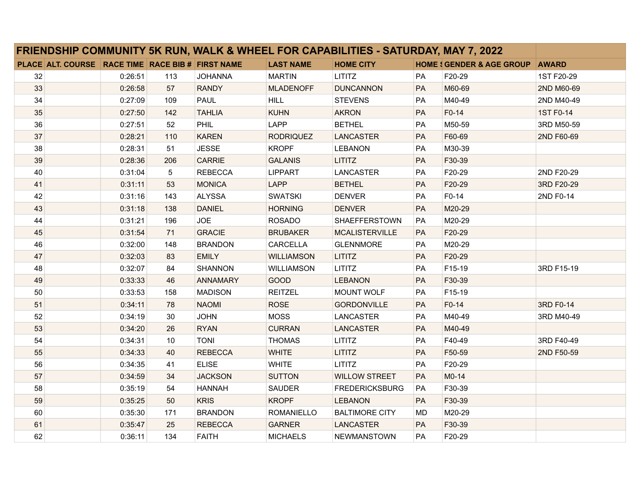| <b>FRIENDSHIP COMMUNITY 5K RUN, WALK &amp; WHEEL FOR CAPABILITIES - SATURDAY, MAY 7, 2022</b> |                                                   |         |     |                 |                   |                       |           |                                      |              |
|-----------------------------------------------------------------------------------------------|---------------------------------------------------|---------|-----|-----------------|-------------------|-----------------------|-----------|--------------------------------------|--------------|
|                                                                                               | PLACE ALT. COURSE RACE TIME RACE BIB # FIRST NAME |         |     |                 | <b>LAST NAME</b>  | <b>HOME CITY</b>      |           | <b>HOME : GENDER &amp; AGE GROUP</b> | <b>AWARD</b> |
| 32                                                                                            |                                                   | 0:26:51 | 113 | <b>JOHANNA</b>  | <b>MARTIN</b>     | <b>LITITZ</b>         | <b>PA</b> | F20-29                               | 1ST F20-29   |
| 33                                                                                            |                                                   | 0:26:58 | 57  | <b>RANDY</b>    | <b>MLADENOFF</b>  | <b>DUNCANNON</b>      | PA        | M60-69                               | 2ND M60-69   |
| 34                                                                                            |                                                   | 0:27:09 | 109 | <b>PAUL</b>     | <b>HILL</b>       | <b>STEVENS</b>        | PA        | M40-49                               | 2ND M40-49   |
| 35                                                                                            |                                                   | 0:27:50 | 142 | <b>TAHLIA</b>   | <b>KUHN</b>       | <b>AKRON</b>          | PA        | F0-14                                | 1ST F0-14    |
| 36                                                                                            |                                                   | 0:27:51 | 52  | PHIL            | LAPP              | <b>BETHEL</b>         | PA        | M50-59                               | 3RD M50-59   |
| 37                                                                                            |                                                   | 0:28:21 | 110 | <b>KAREN</b>    | <b>RODRIQUEZ</b>  | <b>LANCASTER</b>      | PA        | F60-69                               | 2ND F60-69   |
| 38                                                                                            |                                                   | 0:28:31 | 51  | <b>JESSE</b>    | <b>KROPF</b>      | <b>LEBANON</b>        | PA        | M30-39                               |              |
| 39                                                                                            |                                                   | 0:28:36 | 206 | <b>CARRIE</b>   | <b>GALANIS</b>    | <b>LITITZ</b>         | PA        | F30-39                               |              |
| 40                                                                                            |                                                   | 0:31:04 | 5   | <b>REBECCA</b>  | <b>LIPPART</b>    | LANCASTER             | PA        | F20-29                               | 2ND F20-29   |
| 41                                                                                            |                                                   | 0:31:11 | 53  | <b>MONICA</b>   | <b>LAPP</b>       | <b>BETHEL</b>         | PA        | F20-29                               | 3RD F20-29   |
| 42                                                                                            |                                                   | 0:31:16 | 143 | <b>ALYSSA</b>   | <b>SWATSKI</b>    | <b>DENVER</b>         | PA        | F0-14                                | 2ND F0-14    |
| 43                                                                                            |                                                   | 0:31:18 | 138 | <b>DANIEL</b>   | <b>HORNING</b>    | <b>DENVER</b>         | PA        | M20-29                               |              |
| 44                                                                                            |                                                   | 0:31:21 | 196 | <b>JOE</b>      | <b>ROSADO</b>     | <b>SHAEFFERSTOWN</b>  | PA        | M20-29                               |              |
| 45                                                                                            |                                                   | 0:31:54 | 71  | <b>GRACIE</b>   | <b>BRUBAKER</b>   | <b>MCALISTERVILLE</b> | PA        | F20-29                               |              |
| 46                                                                                            |                                                   | 0:32:00 | 148 | <b>BRANDON</b>  | <b>CARCELLA</b>   | <b>GLENNMORE</b>      | PA        | M20-29                               |              |
| 47                                                                                            |                                                   | 0:32:03 | 83  | <b>EMILY</b>    | <b>WILLIAMSON</b> | <b>LITITZ</b>         | PA        | F20-29                               |              |
| 48                                                                                            |                                                   | 0:32:07 | 84  | <b>SHANNON</b>  | <b>WILLIAMSON</b> | <b>LITITZ</b>         | PA        | F15-19                               | 3RD F15-19   |
| 49                                                                                            |                                                   | 0:33:33 | 46  | <b>ANNAMARY</b> | <b>GOOD</b>       | <b>LEBANON</b>        | PA        | F30-39                               |              |
| 50                                                                                            |                                                   | 0:33:53 | 158 | <b>MADISON</b>  | <b>REITZEL</b>    | MOUNT WOLF            | <b>PA</b> | F15-19                               |              |
| 51                                                                                            |                                                   | 0.34.11 | 78  | <b>NAOMI</b>    | <b>ROSE</b>       | <b>GORDONVILLE</b>    | PA        | F0-14                                | 3RD F0-14    |
| 52                                                                                            |                                                   | 0:34:19 | 30  | <b>JOHN</b>     | <b>MOSS</b>       | LANCASTER             | PA        | M40-49                               | 3RD M40-49   |
| 53                                                                                            |                                                   | 0:34:20 | 26  | <b>RYAN</b>     | <b>CURRAN</b>     | <b>LANCASTER</b>      | PA        | M40-49                               |              |
| 54                                                                                            |                                                   | 0:34:31 | 10  | <b>TONI</b>     | <b>THOMAS</b>     | <b>LITITZ</b>         | PA        | F40-49                               | 3RD F40-49   |
| 55                                                                                            |                                                   | 0:34:33 | 40  | <b>REBECCA</b>  | <b>WHITE</b>      | <b>LITITZ</b>         | PA        | F50-59                               | 2ND F50-59   |
| 56                                                                                            |                                                   | 0:34:35 | 41  | <b>ELISE</b>    | <b>WHITE</b>      | <b>LITITZ</b>         | PA        | F20-29                               |              |
| 57                                                                                            |                                                   | 0:34:59 | 34  | <b>JACKSON</b>  | <b>SUTTON</b>     | <b>WILLOW STREET</b>  | PA        | M0-14                                |              |
| 58                                                                                            |                                                   | 0:35:19 | 54  | <b>HANNAH</b>   | <b>SAUDER</b>     | <b>FREDERICKSBURG</b> | PA        | F30-39                               |              |
| 59                                                                                            |                                                   | 0:35:25 | 50  | <b>KRIS</b>     | <b>KROPF</b>      | <b>LEBANON</b>        | PA        | F30-39                               |              |
| 60                                                                                            |                                                   | 0:35:30 | 171 | <b>BRANDON</b>  | <b>ROMANIELLO</b> | <b>BALTIMORE CITY</b> | <b>MD</b> | M20-29                               |              |
| 61                                                                                            |                                                   | 0:35:47 | 25  | <b>REBECCA</b>  | <b>GARNER</b>     | LANCASTER             | PA        | F30-39                               |              |
| 62                                                                                            |                                                   | 0:36:11 | 134 | <b>FAITH</b>    | <b>MICHAELS</b>   | <b>NEWMANSTOWN</b>    | <b>PA</b> | F20-29                               |              |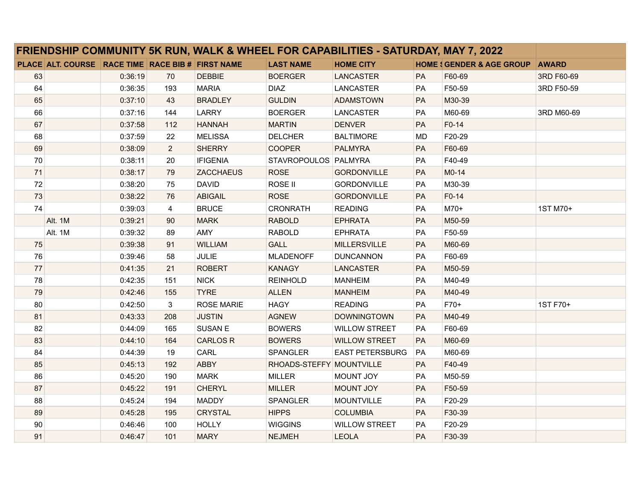| <b>FRIENDSHIP COMMUNITY 5K RUN, WALK &amp; WHEEL FOR CAPABILITIES - SATURDAY, MAY 7, 2022</b> |                                                   |         |                |                   |                          |                        |           |                                          |              |
|-----------------------------------------------------------------------------------------------|---------------------------------------------------|---------|----------------|-------------------|--------------------------|------------------------|-----------|------------------------------------------|--------------|
|                                                                                               | PLACE ALT. COURSE RACE TIME RACE BIB # FIRST NAME |         |                |                   | <b>LAST NAME</b>         | <b>HOME CITY</b>       |           | <b>HOME &amp; GENDER &amp; AGE GROUP</b> | <b>AWARD</b> |
| 63                                                                                            |                                                   | 0:36:19 | 70             | <b>DEBBIE</b>     | <b>BOERGER</b>           | <b>LANCASTER</b>       | PA        | F60-69                                   | 3RD F60-69   |
| 64                                                                                            |                                                   | 0:36:35 | 193            | <b>MARIA</b>      | <b>DIAZ</b>              | <b>LANCASTER</b>       | PA        | F50-59                                   | 3RD F50-59   |
| 65                                                                                            |                                                   | 0.37:10 | 43             | <b>BRADLEY</b>    | <b>GULDIN</b>            | <b>ADAMSTOWN</b>       | PA        | M30-39                                   |              |
| 66                                                                                            |                                                   | 0:37:16 | 144            | LARRY             | <b>BOERGER</b>           | <b>LANCASTER</b>       | PA        | M60-69                                   | 3RD M60-69   |
| 67                                                                                            |                                                   | 0:37:58 | 112            | <b>HANNAH</b>     | <b>MARTIN</b>            | <b>DENVER</b>          | PA        | F0-14                                    |              |
| 68                                                                                            |                                                   | 0:37:59 | 22             | <b>MELISSA</b>    | <b>DELCHER</b>           | <b>BALTIMORE</b>       | <b>MD</b> | F20-29                                   |              |
| 69                                                                                            |                                                   | 0:38:09 | $\overline{2}$ | <b>SHERRY</b>     | <b>COOPER</b>            | <b>PALMYRA</b>         | PA        | F60-69                                   |              |
| 70                                                                                            |                                                   | 0:38:11 | 20             | <b>IFIGENIA</b>   | STAVROPOULOS PALMYRA     |                        | PA        | F40-49                                   |              |
| 71                                                                                            |                                                   | 0:38:17 | 79             | <b>ZACCHAEUS</b>  | <b>ROSE</b>              | <b>GORDONVILLE</b>     | PA        | M0-14                                    |              |
| 72                                                                                            |                                                   | 0:38:20 | 75             | <b>DAVID</b>      | ROSE II                  | <b>GORDONVILLE</b>     | PA        | M30-39                                   |              |
| 73                                                                                            |                                                   | 0:38:22 | 76             | <b>ABIGAIL</b>    | <b>ROSE</b>              | <b>GORDONVILLE</b>     | PA        | F0-14                                    |              |
| 74                                                                                            |                                                   | 0:39:03 | $\overline{4}$ | <b>BRUCE</b>      | <b>CRONRATH</b>          | <b>READING</b>         | PA        | $M70+$                                   | 1ST M70+     |
|                                                                                               | Alt. 1M                                           | 0:39:21 | 90             | <b>MARK</b>       | <b>RABOLD</b>            | <b>EPHRATA</b>         | PA        | M50-59                                   |              |
|                                                                                               | Alt. 1M                                           | 0:39:32 | 89             | AMY               | <b>RABOLD</b>            | <b>EPHRATA</b>         | PA        | F50-59                                   |              |
| 75                                                                                            |                                                   | 0:39:38 | 91             | <b>WILLIAM</b>    | <b>GALL</b>              | <b>MILLERSVILLE</b>    | PA        | M60-69                                   |              |
| 76                                                                                            |                                                   | 0:39:46 | 58             | <b>JULIE</b>      | <b>MLADENOFF</b>         | <b>DUNCANNON</b>       | PA        | F60-69                                   |              |
| 77                                                                                            |                                                   | 0:41:35 | 21             | <b>ROBERT</b>     | <b>KANAGY</b>            | <b>LANCASTER</b>       | PA        | M50-59                                   |              |
| 78                                                                                            |                                                   | 0:42:35 | 151            | <b>NICK</b>       | <b>REINHOLD</b>          | <b>MANHEIM</b>         | PA        | M40-49                                   |              |
| 79                                                                                            |                                                   | 0.42:46 | 155            | <b>TYRE</b>       | <b>ALLEN</b>             | <b>MANHEIM</b>         | PA        | M40-49                                   |              |
| 80                                                                                            |                                                   | 0:42:50 | 3              | <b>ROSE MARIE</b> | <b>HAGY</b>              | <b>READING</b>         | PA        | F70+                                     | 1ST F70+     |
| 81                                                                                            |                                                   | 0:43:33 | 208            | <b>JUSTIN</b>     | <b>AGNEW</b>             | <b>DOWNINGTOWN</b>     | PA        | M40-49                                   |              |
| 82                                                                                            |                                                   | 0:44:09 | 165            | <b>SUSAN E</b>    | <b>BOWERS</b>            | <b>WILLOW STREET</b>   | PA        | F60-69                                   |              |
| 83                                                                                            |                                                   | 0:44:10 | 164            | <b>CARLOS R</b>   | <b>BOWERS</b>            | <b>WILLOW STREET</b>   | PA        | M60-69                                   |              |
| 84                                                                                            |                                                   | 0:44:39 | 19             | CARL              | <b>SPANGLER</b>          | <b>EAST PETERSBURG</b> | <b>PA</b> | M60-69                                   |              |
| 85                                                                                            |                                                   | 0:45:13 | 192            | <b>ABBY</b>       | RHOADS-STEFFY MOUNTVILLE |                        | PA        | F40-49                                   |              |
| 86                                                                                            |                                                   | 0:45:20 | 190            | <b>MARK</b>       | <b>MILLER</b>            | <b>MOUNT JOY</b>       | PA        | M50-59                                   |              |
| 87                                                                                            |                                                   | 0:45:22 | 191            | <b>CHERYL</b>     | <b>MILLER</b>            | <b>MOUNT JOY</b>       | PA        | F50-59                                   |              |
| 88                                                                                            |                                                   | 0:45:24 | 194            | <b>MADDY</b>      | <b>SPANGLER</b>          | <b>MOUNTVILLE</b>      | PA        | F20-29                                   |              |
| 89                                                                                            |                                                   | 0:45:28 | 195            | <b>CRYSTAL</b>    | <b>HIPPS</b>             | <b>COLUMBIA</b>        | PA        | F30-39                                   |              |
| 90                                                                                            |                                                   | 0:46:46 | 100            | <b>HOLLY</b>      | <b>WIGGINS</b>           | <b>WILLOW STREET</b>   | PA        | F20-29                                   |              |
| 91                                                                                            |                                                   | 0:46:47 | 101            | <b>MARY</b>       | <b>NEJMEH</b>            | <b>LEOLA</b>           | PA        | F30-39                                   |              |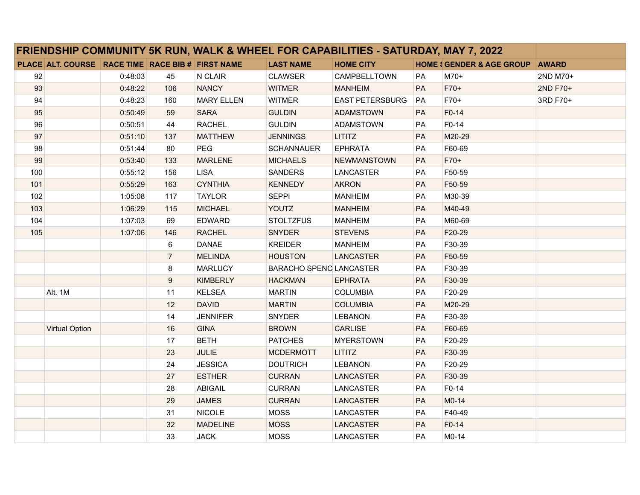| FRIENDSHIP COMMUNITY 5K RUN, WALK & WHEEL FOR CAPABILITIES - SATURDAY, MAY 7, 2022 |                                                   |         |                |                   |                                |                        |           |                                      |              |
|------------------------------------------------------------------------------------|---------------------------------------------------|---------|----------------|-------------------|--------------------------------|------------------------|-----------|--------------------------------------|--------------|
|                                                                                    | PLACE ALT. COURSE RACE TIME RACE BIB # FIRST NAME |         |                |                   | <b>LAST NAME</b>               | <b>HOME CITY</b>       |           | <b>HOME { GENDER &amp; AGE GROUP</b> | <b>AWARD</b> |
| 92                                                                                 |                                                   | 0:48:03 | 45             | N CLAIR           | <b>CLAWSER</b>                 | CAMPBELLTOWN           | PA        | $M70+$                               | 2ND M70+     |
| 93                                                                                 |                                                   | 0:48:22 | 106            | <b>NANCY</b>      | <b>WITMER</b>                  | <b>MANHEIM</b>         | PA        | F70+                                 | 2ND F70+     |
| 94                                                                                 |                                                   | 0:48:23 | 160            | <b>MARY ELLEN</b> | <b>WITMER</b>                  | <b>EAST PETERSBURG</b> | PA        | F70+                                 | 3RD F70+     |
| 95                                                                                 |                                                   | 0:50:49 | 59             | <b>SARA</b>       | <b>GULDIN</b>                  | <b>ADAMSTOWN</b>       | PA        | F0-14                                |              |
| 96                                                                                 |                                                   | 0:50:51 | 44             | <b>RACHEL</b>     | <b>GULDIN</b>                  | ADAMSTOWN              | PA        | F0-14                                |              |
| 97                                                                                 |                                                   | 0:51:10 | 137            | <b>MATTHEW</b>    | <b>JENNINGS</b>                | <b>LITITZ</b>          | PA        | M20-29                               |              |
| 98                                                                                 |                                                   | 0:51:44 | 80             | <b>PEG</b>        | <b>SCHANNAUER</b>              | <b>EPHRATA</b>         | PA        | F60-69                               |              |
| 99                                                                                 |                                                   | 0:53:40 | 133            | <b>MARLENE</b>    | <b>MICHAELS</b>                | NEWMANSTOWN            | PA        | F70+                                 |              |
| 100                                                                                |                                                   | 0:55:12 | 156            | <b>LISA</b>       | <b>SANDERS</b>                 | LANCASTER              | PA        | F50-59                               |              |
| 101                                                                                |                                                   | 0:55:29 | 163            | <b>CYNTHIA</b>    | <b>KENNEDY</b>                 | <b>AKRON</b>           | PA        | F50-59                               |              |
| 102                                                                                |                                                   | 1:05:08 | 117            | <b>TAYLOR</b>     | <b>SEPPI</b>                   | <b>MANHEIM</b>         | PA        | M30-39                               |              |
| 103                                                                                |                                                   | 1:06:29 | 115            | <b>MICHAEL</b>    | <b>YOUTZ</b>                   | <b>MANHEIM</b>         | PA        | M40-49                               |              |
| 104                                                                                |                                                   | 1:07:03 | 69             | <b>EDWARD</b>     | <b>STOLTZFUS</b>               | <b>MANHEIM</b>         | PA        | M60-69                               |              |
| 105                                                                                |                                                   | 1:07:06 | 146            | <b>RACHEL</b>     | <b>SNYDER</b>                  | <b>STEVENS</b>         | PA        | F20-29                               |              |
|                                                                                    |                                                   |         | 6              | <b>DANAE</b>      | <b>KREIDER</b>                 | <b>MANHEIM</b>         | <b>PA</b> | F30-39                               |              |
|                                                                                    |                                                   |         | $\overline{7}$ | <b>MELINDA</b>    | <b>HOUSTON</b>                 | <b>LANCASTER</b>       | PA        | F50-59                               |              |
|                                                                                    |                                                   |         | 8              | <b>MARLUCY</b>    | <b>BARACHO SPENC LANCASTER</b> |                        | PA        | F30-39                               |              |
|                                                                                    |                                                   |         | 9              | <b>KIMBERLY</b>   | <b>HACKMAN</b>                 | <b>EPHRATA</b>         | PA        | F30-39                               |              |
|                                                                                    | Alt. 1M                                           |         | 11             | <b>KELSEA</b>     | <b>MARTIN</b>                  | <b>COLUMBIA</b>        | PA        | F20-29                               |              |
|                                                                                    |                                                   |         | 12             | <b>DAVID</b>      | <b>MARTIN</b>                  | <b>COLUMBIA</b>        | PA        | M20-29                               |              |
|                                                                                    |                                                   |         | 14             | <b>JENNIFER</b>   | SNYDER                         | <b>LEBANON</b>         | PA        | F30-39                               |              |
|                                                                                    | <b>Virtual Option</b>                             |         | 16             | <b>GINA</b>       | <b>BROWN</b>                   | <b>CARLISE</b>         | PA        | F60-69                               |              |
|                                                                                    |                                                   |         | 17             | <b>BETH</b>       | <b>PATCHES</b>                 | <b>MYERSTOWN</b>       | <b>PA</b> | F20-29                               |              |
|                                                                                    |                                                   |         | 23             | <b>JULIE</b>      | <b>MCDERMOTT</b>               | <b>LITITZ</b>          | PA        | F30-39                               |              |
|                                                                                    |                                                   |         | 24             | <b>JESSICA</b>    | <b>DOUTRICH</b>                | <b>LEBANON</b>         | PA        | F20-29                               |              |
|                                                                                    |                                                   |         | 27             | <b>ESTHER</b>     | <b>CURRAN</b>                  | <b>LANCASTER</b>       | PA        | F30-39                               |              |
|                                                                                    |                                                   |         | 28             | <b>ABIGAIL</b>    | <b>CURRAN</b>                  | <b>LANCASTER</b>       | PA        | F0-14                                |              |
|                                                                                    |                                                   |         | 29             | <b>JAMES</b>      | <b>CURRAN</b>                  | <b>LANCASTER</b>       | PA        | M0-14                                |              |
|                                                                                    |                                                   |         | 31             | <b>NICOLE</b>     | <b>MOSS</b>                    | LANCASTER              | PA        | F40-49                               |              |
|                                                                                    |                                                   |         | 32             | <b>MADELINE</b>   | <b>MOSS</b>                    | LANCASTER              | PA        | $F0-14$                              |              |
|                                                                                    |                                                   |         | 33             | <b>JACK</b>       | <b>MOSS</b>                    | <b>LANCASTER</b>       | PA        | $M0-14$                              |              |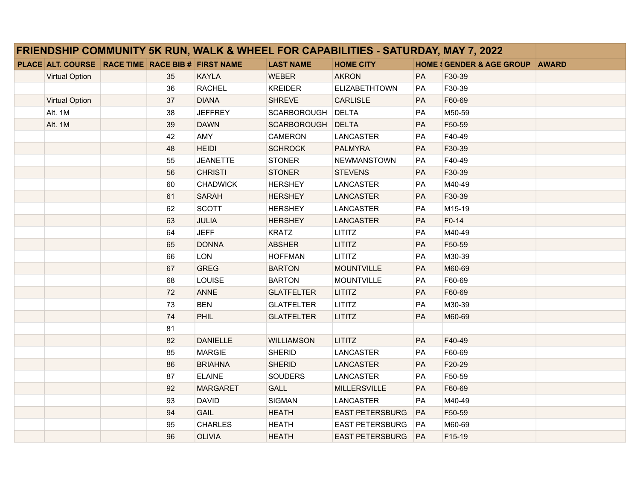| <b>FRIENDSHIP COMMUNITY 5K RUN, WALK &amp; WHEEL FOR CAPABILITIES - SATURDAY, MAY 7, 2022</b> |                                                   |  |    |                 |                   |                        |           |                                            |  |
|-----------------------------------------------------------------------------------------------|---------------------------------------------------|--|----|-----------------|-------------------|------------------------|-----------|--------------------------------------------|--|
|                                                                                               | PLACE ALT. COURSE RACE TIME RACE BIB # FIRST NAME |  |    |                 | <b>LAST NAME</b>  | <b>HOME CITY</b>       |           | <b>HOME : GENDER &amp; AGE GROUP AWARD</b> |  |
|                                                                                               | <b>Virtual Option</b>                             |  | 35 | <b>KAYLA</b>    | <b>WEBER</b>      | <b>AKRON</b>           | PA        | F30-39                                     |  |
|                                                                                               |                                                   |  | 36 | <b>RACHEL</b>   | <b>KREIDER</b>    | <b>ELIZABETHTOWN</b>   | <b>PA</b> | F30-39                                     |  |
|                                                                                               | <b>Virtual Option</b>                             |  | 37 | <b>DIANA</b>    | <b>SHREVE</b>     | <b>CARLISLE</b>        | PA        | F60-69                                     |  |
|                                                                                               | Alt. 1M                                           |  | 38 | <b>JEFFREY</b>  | SCARBOROUGH DELTA |                        | <b>PA</b> | M50-59                                     |  |
|                                                                                               | Alt. 1M                                           |  | 39 | <b>DAWN</b>     | SCARBOROUGH       | <b>DELTA</b>           | PA        | F50-59                                     |  |
|                                                                                               |                                                   |  | 42 | AMY             | <b>CAMERON</b>    | <b>LANCASTER</b>       | PA        | F40-49                                     |  |
|                                                                                               |                                                   |  | 48 | <b>HEIDI</b>    | <b>SCHROCK</b>    | <b>PALMYRA</b>         | PA        | F30-39                                     |  |
|                                                                                               |                                                   |  | 55 | <b>JEANETTE</b> | <b>STONER</b>     | <b>NEWMANSTOWN</b>     | <b>PA</b> | F40-49                                     |  |
|                                                                                               |                                                   |  | 56 | <b>CHRISTI</b>  | <b>STONER</b>     | <b>STEVENS</b>         | PA        | F30-39                                     |  |
|                                                                                               |                                                   |  | 60 | <b>CHADWICK</b> | <b>HERSHEY</b>    | <b>LANCASTER</b>       | PA        | M40-49                                     |  |
|                                                                                               |                                                   |  | 61 | <b>SARAH</b>    | <b>HERSHEY</b>    | <b>LANCASTER</b>       | PA        | F30-39                                     |  |
|                                                                                               |                                                   |  | 62 | <b>SCOTT</b>    | <b>HERSHEY</b>    | <b>LANCASTER</b>       | <b>PA</b> | M15-19                                     |  |
|                                                                                               |                                                   |  | 63 | JULIA           | <b>HERSHEY</b>    | <b>LANCASTER</b>       | PA        | F0-14                                      |  |
|                                                                                               |                                                   |  | 64 | <b>JEFF</b>     | <b>KRATZ</b>      | <b>LITITZ</b>          | PA        | M40-49                                     |  |
|                                                                                               |                                                   |  | 65 | <b>DONNA</b>    | <b>ABSHER</b>     | <b>LITITZ</b>          | PA        | F50-59                                     |  |
|                                                                                               |                                                   |  | 66 | <b>LON</b>      | <b>HOFFMAN</b>    | LITITZ                 | PA        | M30-39                                     |  |
|                                                                                               |                                                   |  | 67 | <b>GREG</b>     | <b>BARTON</b>     | <b>MOUNTVILLE</b>      | PA        | M60-69                                     |  |
|                                                                                               |                                                   |  | 68 | LOUISE          | <b>BARTON</b>     | <b>MOUNTVILLE</b>      | PA        | F60-69                                     |  |
|                                                                                               |                                                   |  | 72 | <b>ANNE</b>     | <b>GLATFELTER</b> | LITITZ                 | PA        | F60-69                                     |  |
|                                                                                               |                                                   |  | 73 | <b>BEN</b>      | <b>GLATFELTER</b> | LITITZ                 | PA        | M30-39                                     |  |
|                                                                                               |                                                   |  | 74 | PHIL            | <b>GLATFELTER</b> | LITITZ                 | PA        | M60-69                                     |  |
|                                                                                               |                                                   |  | 81 |                 |                   |                        |           |                                            |  |
|                                                                                               |                                                   |  | 82 | <b>DANIELLE</b> | <b>WILLIAMSON</b> | <b>LITITZ</b>          | PA        | F40-49                                     |  |
|                                                                                               |                                                   |  | 85 | <b>MARGIE</b>   | <b>SHERID</b>     | <b>LANCASTER</b>       | PA        | F60-69                                     |  |
|                                                                                               |                                                   |  | 86 | <b>BRIAHNA</b>  | <b>SHERID</b>     | <b>LANCASTER</b>       | PA        | F20-29                                     |  |
|                                                                                               |                                                   |  | 87 | <b>ELAINE</b>   | <b>SOUDERS</b>    | <b>LANCASTER</b>       | PA        | F50-59                                     |  |
|                                                                                               |                                                   |  | 92 | <b>MARGARET</b> | <b>GALL</b>       | <b>MILLERSVILLE</b>    | PA        | F60-69                                     |  |
|                                                                                               |                                                   |  | 93 | <b>DAVID</b>    | <b>SIGMAN</b>     | LANCASTER              | PA        | M40-49                                     |  |
|                                                                                               |                                                   |  | 94 | <b>GAIL</b>     | <b>HEATH</b>      | <b>EAST PETERSBURG</b> | PA        | F50-59                                     |  |
|                                                                                               |                                                   |  | 95 | <b>CHARLES</b>  | <b>HEATH</b>      | <b>EAST PETERSBURG</b> | PA        | M60-69                                     |  |
|                                                                                               |                                                   |  | 96 | <b>OLIVIA</b>   | <b>HEATH</b>      | <b>EAST PETERSBURG</b> | PA        | F15-19                                     |  |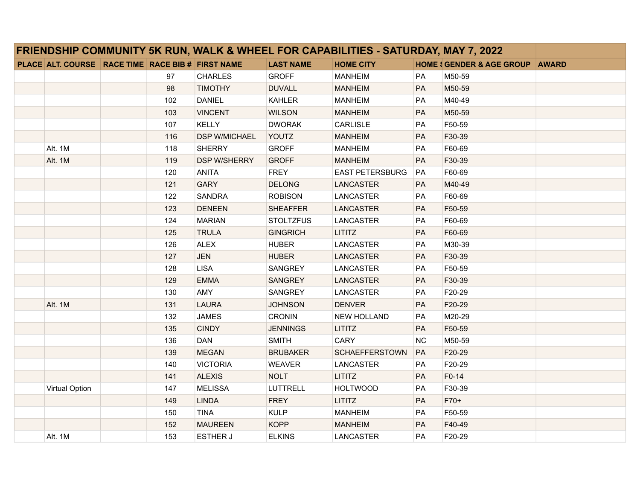| FRIENDSHIP COMMUNITY 5K RUN, WALK & WHEEL FOR CAPABILITIES - SATURDAY, MAY 7, 2022 |                                                   |  |     |                      |                  |                        |           |                                           |  |
|------------------------------------------------------------------------------------|---------------------------------------------------|--|-----|----------------------|------------------|------------------------|-----------|-------------------------------------------|--|
|                                                                                    | PLACE ALT. COURSE RACE TIME RACE BIB # FIRST NAME |  |     |                      | <b>LAST NAME</b> | <b>HOME CITY</b>       |           | <b>HOME SGENDER &amp; AGE GROUP AWARD</b> |  |
|                                                                                    |                                                   |  | 97  | <b>CHARLES</b>       | <b>GROFF</b>     | <b>MANHEIM</b>         | <b>PA</b> | M50-59                                    |  |
|                                                                                    |                                                   |  | 98  | <b>TIMOTHY</b>       | <b>DUVALL</b>    | <b>MANHEIM</b>         | PA        | M50-59                                    |  |
|                                                                                    |                                                   |  | 102 | <b>DANIEL</b>        | <b>KAHLER</b>    | <b>MANHEIM</b>         | <b>PA</b> | M40-49                                    |  |
|                                                                                    |                                                   |  | 103 | <b>VINCENT</b>       | <b>WILSON</b>    | <b>MANHEIM</b>         | PA        | M50-59                                    |  |
|                                                                                    |                                                   |  | 107 | <b>KELLY</b>         | <b>DWORAK</b>    | CARLISLE               | PA        | F50-59                                    |  |
|                                                                                    |                                                   |  | 116 | <b>DSP W/MICHAEL</b> | YOUTZ            | <b>MANHEIM</b>         | <b>PA</b> | F30-39                                    |  |
|                                                                                    | Alt. 1M                                           |  | 118 | <b>SHERRY</b>        | <b>GROFF</b>     | <b>MANHEIM</b>         | PA        | F60-69                                    |  |
|                                                                                    | Alt. 1M                                           |  | 119 | <b>DSP W/SHERRY</b>  | <b>GROFF</b>     | <b>MANHEIM</b>         | PA        | F30-39                                    |  |
|                                                                                    |                                                   |  | 120 | <b>ANITA</b>         | <b>FREY</b>      | <b>EAST PETERSBURG</b> | PA        | F60-69                                    |  |
|                                                                                    |                                                   |  | 121 | <b>GARY</b>          | <b>DELONG</b>    | <b>LANCASTER</b>       | PA        | M40-49                                    |  |
|                                                                                    |                                                   |  | 122 | <b>SANDRA</b>        | <b>ROBISON</b>   | LANCASTER              | PA        | F60-69                                    |  |
|                                                                                    |                                                   |  | 123 | <b>DENEEN</b>        | <b>SHEAFFER</b>  | <b>LANCASTER</b>       | PA        | F50-59                                    |  |
|                                                                                    |                                                   |  | 124 | <b>MARIAN</b>        | <b>STOLTZFUS</b> | <b>LANCASTER</b>       | PA        | F60-69                                    |  |
|                                                                                    |                                                   |  | 125 | <b>TRULA</b>         | <b>GINGRICH</b>  | <b>LITITZ</b>          | PA        | F60-69                                    |  |
|                                                                                    |                                                   |  | 126 | <b>ALEX</b>          | <b>HUBER</b>     | <b>LANCASTER</b>       | PA        | M30-39                                    |  |
|                                                                                    |                                                   |  | 127 | <b>JEN</b>           | <b>HUBER</b>     | LANCASTER              | PA        | F30-39                                    |  |
|                                                                                    |                                                   |  | 128 | <b>LISA</b>          | SANGREY          | LANCASTER              | PA        | F50-59                                    |  |
|                                                                                    |                                                   |  | 129 | <b>EMMA</b>          | SANGREY          | LANCASTER              | PA        | F30-39                                    |  |
|                                                                                    |                                                   |  | 130 | AMY                  | SANGREY          | <b>LANCASTER</b>       | PA        | F20-29                                    |  |
|                                                                                    | Alt. 1M                                           |  | 131 | <b>LAURA</b>         | <b>JOHNSON</b>   | <b>DENVER</b>          | PA        | F20-29                                    |  |
|                                                                                    |                                                   |  | 132 | <b>JAMES</b>         | <b>CRONIN</b>    | NEW HOLLAND            | PA        | M20-29                                    |  |
|                                                                                    |                                                   |  | 135 | <b>CINDY</b>         | <b>JENNINGS</b>  | <b>LITITZ</b>          | PA        | F50-59                                    |  |
|                                                                                    |                                                   |  | 136 | DAN                  | <b>SMITH</b>     | <b>CARY</b>            | <b>NC</b> | M50-59                                    |  |
|                                                                                    |                                                   |  | 139 | <b>MEGAN</b>         | <b>BRUBAKER</b>  | <b>SCHAEFFERSTOWN</b>  | PA        | F20-29                                    |  |
|                                                                                    |                                                   |  | 140 | <b>VICTORIA</b>      | <b>WEAVER</b>    | LANCASTER              | PA        | F20-29                                    |  |
|                                                                                    |                                                   |  | 141 | <b>ALEXIS</b>        | <b>NOLT</b>      | <b>LITITZ</b>          | PA        | $F0-14$                                   |  |
|                                                                                    | <b>Virtual Option</b>                             |  | 147 | <b>MELISSA</b>       | <b>LUTTRELL</b>  | <b>HOLTWOOD</b>        | PA        | F30-39                                    |  |
|                                                                                    |                                                   |  | 149 | <b>LINDA</b>         | <b>FREY</b>      | <b>LITITZ</b>          | PA        | F70+                                      |  |
|                                                                                    |                                                   |  | 150 | <b>TINA</b>          | <b>KULP</b>      | <b>MANHEIM</b>         | PA        | F50-59                                    |  |
|                                                                                    |                                                   |  | 152 | <b>MAUREEN</b>       | <b>KOPP</b>      | <b>MANHEIM</b>         | PA        | F40-49                                    |  |
|                                                                                    | Alt. 1M                                           |  | 153 | <b>ESTHER J</b>      | <b>ELKINS</b>    | <b>LANCASTER</b>       | PA        | F20-29                                    |  |